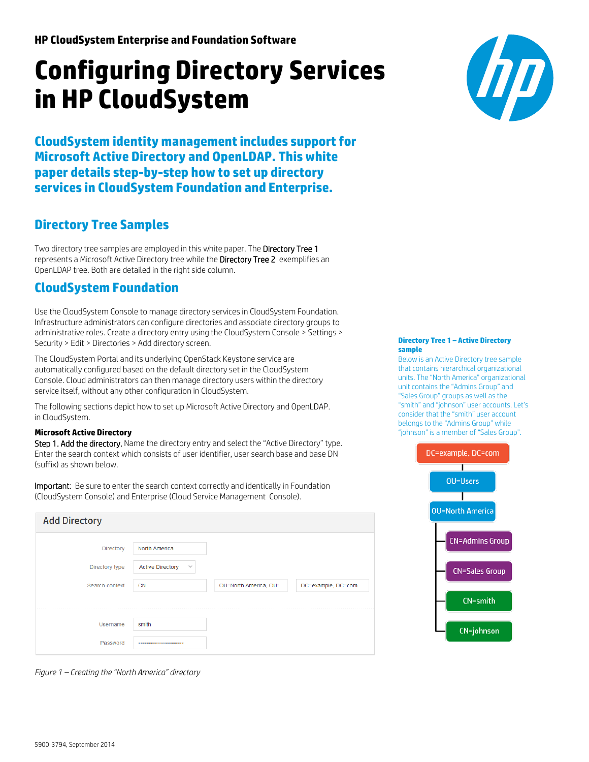# **Configuring Directory Services in HP CloudSystem**

**CloudSystem identity managementincludes support for Microsoft Active Directory and OpenLDAP. This white paper details step-by-step how to set up directory services in CloudSystem Foundation and Enterprise.**

# **Directory Tree Samples**

Two directory tree samples are employed in this white paper. The Directory Tree 1 represents a Microsoft Active Directory tree while the Directory Tree 2 exemplifies an OpenLDAP tree. Both are detailed in the right side column.

## **CloudSystem Foundation**

Use the CloudSystem Console to manage directory services in CloudSystem Foundation. Infrastructure administrators can configure directories and associate directory groups to administrative roles. Create a directory entry using the CloudSystem Console > Settings > Security > Edit > Directories > Add directory screen.

The CloudSystem Portal and its underlying OpenStack Keystone service are automatically configured based on the default directory set in the CloudSystem Console. Cloud administrators can then manage directory users within the directory service itself, without any other configuration in CloudSystem.

The following sections depict how to set up Microsoft Active Directory and OpenLDAP. in CloudSystem.

## **Microsoft Active Directory**

Step 1. Add the directory. Name the directory entry and select the "Active Directory" type. Enter the search context which consists of user identifier, user search base and base DN (suffix) as shown below.

Important: Be sure to enter the search context correctly and identically in Foundation (CloudSystem Console) and Enterprise (Cloud Service Management Console).

| <b>Add Directory</b> |                                          |                       |                    |
|----------------------|------------------------------------------|-----------------------|--------------------|
| Directory            | North America                            |                       |                    |
| Directory type       | <b>Active Directory</b><br>$\mathcal{A}$ |                       |                    |
| Search context       | <b>CN</b>                                | OU=North America, OU= | DC=example, DC=com |
|                      |                                          |                       |                    |
| Username             | smith                                    |                       |                    |
| Password             |                                          |                       |                    |



#### **Directory Tree 1 – Active Directory sample**

Below is an Active Directory tree sample that contains hierarchical organizational units. The "North America" organizational unit contains the "Admins Group" and "Sales Group" groups as well as the "smith" and "johnson" user accounts. Let's consider that the "smith" user account belongs to the "Admins Group" while "johnson" is a member of "Sales Group".



*Figure 1 – Creating the "North America" directory*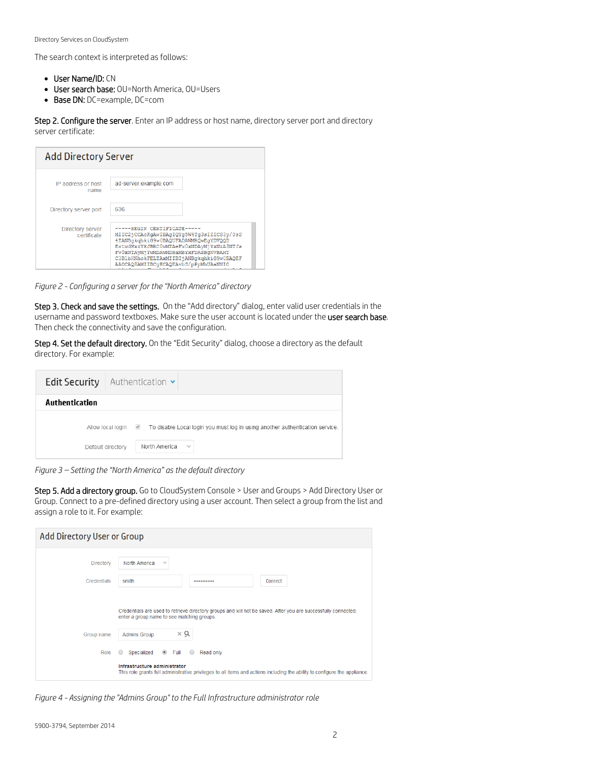The search context is interpreted as follows:

- User Name/ID: CN
- User search base: OU=North America, OU=Users
- Base DN: DC=example, DC=com

Step 2. Configure the server. Enter an IP address or host name, directory server port and directory server certificate:

| <b>Add Directory Server</b>            |                                                                                                                                                                                                                                                                                   |
|----------------------------------------|-----------------------------------------------------------------------------------------------------------------------------------------------------------------------------------------------------------------------------------------------------------------------------------|
| IP address or host<br>name             | ad-server.example.com                                                                                                                                                                                                                                                             |
| Directory server port                  | 636                                                                                                                                                                                                                                                                               |
| <b>Directory server</b><br>certificate | ---BEGIN CERTIFICATE-<br>MIIC2jCCAcKqAwIBAqIQYq5W4Tq3sIZICS3y/0sS<br>4TANBqkqhkiG9w0BAQUFADAWMRQwEqYDVQQD<br>EwtwdWxzYXJBRC0wMTAeFw0xNDAyMjYxNzA3NTJa<br>FW0xNTAyMjYwMDAwMDBaMBYxFDASBqNVBAMT<br>C3B1bHNhckFELTAxMIIBIjANBqkqhkiG9w0BAQEF<br>AAOCAQ8AMIIBCqKCAQEAvbS/pPpMhUAaNNIO |

*Figure 2 - Configuring a server for the "North America" directory*

Step 3. Check and save the settings. On the "Add directory" dialog, enter valid user credentials in the username and password textboxes. Make sure the user account is located under the user search base. Then check the connectivity and save the configuration.

Step 4. Set the default directory. On the "Edit Security" dialog, choose a directory as the default directory. For example:

| <b>Edit Security</b><br>Authentication $\sim$                                                                                                       |
|-----------------------------------------------------------------------------------------------------------------------------------------------------|
| Authentication                                                                                                                                      |
| Allow local login 4<br>To disable Local login you must log in using another authentication service.<br>North America<br>$\sim$<br>Default directory |

*Figure 3 – Setting the "North America" as the default directory*

Step 5. Add a directory group. Go to CloudSystem Console > User and Groups > Add Directory User or Group. Connect to a pre-defined directory using a user account. Then select a group from the list and assign a role to it. For example:

| Add Directory User or Group |                                                                                                                                                                                           |
|-----------------------------|-------------------------------------------------------------------------------------------------------------------------------------------------------------------------------------------|
| Directory                   | North America<br>$\mathcal{A}$                                                                                                                                                            |
| <b>Credentials</b>          | smith<br>Connect<br>                                                                                                                                                                      |
| Group name                  | Credentials are used to retrieve directory groups and will not be saved. After you are successfully connected,<br>enter a group name to see matching groups.<br>хq<br><b>Admins Group</b> |
| Role                        | $\circ$ Full<br>Specialized<br>$\bigcirc$<br>Read only<br>$\bigcirc$                                                                                                                      |
|                             | Infrastructure administrator<br>This role grants full administrative privileges to all items and actions including the ability to configure the appliance.                                |

*Figure 4 - Assigning the "Admins Group" to the Full Infrastructure administrator role*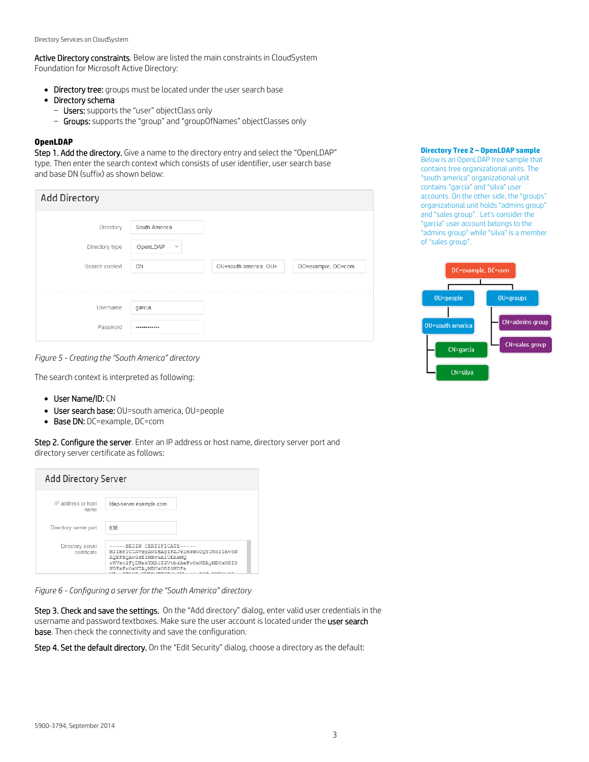Active Directory constraints. Below are listed the main constraints in CloudSystem Foundation for Microsoft Active Directory:

- Directory tree: groups must be located under the user search base
- Directory schema
	- Users: supports the "user" objectClass only
	- Groups: supports the "group" and "groupOfNames" objectClasses only

#### **OpenLDAP**

Step 1. Add the directory. Give a name to the directory entry and select the "OpenLDAP" type. Then enter the search context which consists of user identifier, user search base and base DN (suffix) as shown below:

| <b>Add Directory</b> |                    |                       |                    |
|----------------------|--------------------|-----------------------|--------------------|
| Directory            | South America      |                       |                    |
| Directory type       | OpenLDAP<br>$\sim$ |                       |                    |
| Search context       | CN                 | OU=south america, OU= | DC=example, DC=com |
|                      |                    |                       |                    |
| Username             | garcia             |                       |                    |
| Password             |                    |                       |                    |

### **Directory Tree 2 – OpenLDAP sample**

Below is an OpenLDAP tree sample that contains tree organizational units. The "south america" organizational unit contains "garcia" and "silva" user accounts. On the other side, the "groups" organizational unit holds "admins group" and "sales group". Let's consider the "garcia" user account belongs to the "admins group" while "silva" is a member of "sales group".



*Figure 5 - Creating the "South America" directory*

The search context is interpreted as following:

- User Name/ID: CN
- User search base: OU=south america, OU=people
- Base DN: DC=example, DC=com

Step 2. Configure the server. Enter an IP address or host name, directory server port and directory server certificate as follows:

| Add Directory Server            |                                                                                                                                                                                                 |
|---------------------------------|-------------------------------------------------------------------------------------------------------------------------------------------------------------------------------------------------|
| IP address or host<br>name      | Idap-server.example.com                                                                                                                                                                         |
| Directory server port           | 636                                                                                                                                                                                             |
| Directory server<br>certificate | -----BEGIN CERTIFICATE-----<br>MIIB8TCCAVqqAwIBAqIFAJ41m9kwDQYJKoZIhvcN<br>AOEFBOAWGzEZMBcGA1UEAxMO<br>cHVsc2FvLWxkYXAtZGVtbzAeFw0xNDAvMDUxODI0<br>NDFaFw0xNTAvMDUxODI0NDFa<br>2020-0223031-020 |

*Figure 6 - Configuring a server for the "South America" directory*

Step 3. Check and save the settings. On the "Add directory" dialog, enter valid user credentials in the username and password textboxes. Make sure the user account is located under the user search **base**. Then check the connectivity and save the configuration.

Step 4. Set the default directory. On the "Edit Security" dialog, choose a directory as the default: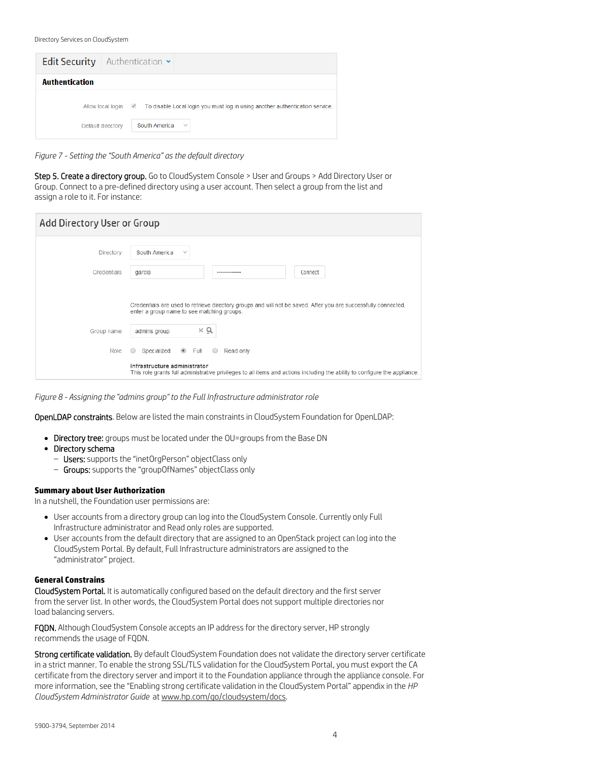| <b>Edit Security</b>   Authentication $\sim$ |                                                                              |
|----------------------------------------------|------------------------------------------------------------------------------|
| <b>Authentication</b>                        |                                                                              |
| Allow local login <u>of</u>                  | To disable Local login you must log in using another authentication service. |
| Default directory                            | South America<br>$\mathcal{A}$                                               |

*Figure 7 - Setting the "South America" as the default directory*

Step 5. Create a directory group. Go to CloudSystem Console > User and Groups > Add Directory User or Group. Connect to a pre-defined directory using a user account. Then select a group from the list and assign a role to it. For instance:

| Add Directory User or Group |                                                                                                                                                              |
|-----------------------------|--------------------------------------------------------------------------------------------------------------------------------------------------------------|
| Directory                   | South America<br>$\sim$                                                                                                                                      |
| Credentials                 | garcia<br>Connect<br>                                                                                                                                        |
|                             | Credentials are used to retrieve directory groups and will not be saved. After you are successfully connected,<br>enter a group name to see matching groups. |
| Group name                  | χQ<br>admins group                                                                                                                                           |
| Role                        | $\circledcirc$ Full<br>Specialized<br>Read only<br>$\circ$                                                                                                   |
|                             | Infrastructure administrator<br>This role grants full administrative privileges to all items and actions including the ability to configure the appliance.   |

*Figure 8 - Assigning the "admins group" to the Full Infrastructure administrator role*

OpenLDAP constraints. Below are listed the main constraints in CloudSystem Foundation for OpenLDAP:

- Directory tree: groups must be located under the OU=groups from the Base DN
- Directory schema
	- Users: supports the "inetOrgPerson" objectClass only
	- Groups: supports the "groupOfNames" objectClass only

#### **Summary about User Authorization**

In a nutshell, the Foundation user permissions are:

- User accounts from a directory group can log into the CloudSystem Console. Currently only Full Infrastructure administrator and Read only roles are supported.
- User accounts from the default directory that are assigned to an OpenStack project can log into the CloudSystem Portal. By default, Full Infrastructure administrators are assigned to the "administrator" project.

#### **General Constrains**

CloudSystem Portal. It is automatically configured based on the default directory and the first server from the server list. In other words, the CloudSystem Portal does not support multiple directories nor load balancing servers.

FQDN. Although CloudSystem Console accepts an IP address for the directory server, HP strongly recommends the usage of FQDN.

Strong certificate validation. By default CloudSystem Foundation does not validate the directory server certificate in a strict manner. To enable the strong SSL/TLS validation for the CloudSystem Portal, you must export the CA certificate from the directory server and import it to the Foundation appliance through the appliance console. For more information, see the "Enabling strong certificate validation in the CloudSystem Portal" appendix in the *HP CloudSystem Administrator Guide* a[t www.hp.com/go/cloudsystem/docs.](http://www.hp.com/go/cloudsystem/docs)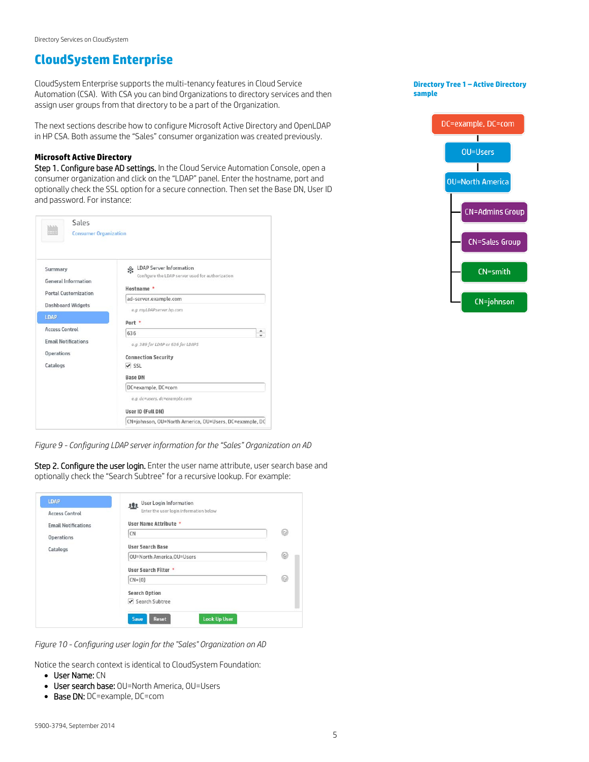## **CloudSystem Enterprise**

CloudSystem Enterprise supports the multi-tenancy features in Cloud Service Automation (CSA). With CSA you can bind Organizations to directory services and then assign user groups from that directory to be a part of the Organization.

The next sections describe how to configure Microsoft Active Directory and OpenLDAP in HP CSA. Both assume the "Sales" consumer organization was created previously.

#### **Microsoft Active Directory**

Step 1. Configure base AD settings. In the Cloud Service Automation Console, open a consumer organization and click on the "LDAP" panel. Enter the hostname, port and optionally check the SSL option for a secure connection. Then set the Base DN, User ID and password. For instance:

| hibits.<br>mm<br><b>Consumer Organization</b>                                        |                                                                                                                   |
|--------------------------------------------------------------------------------------|-------------------------------------------------------------------------------------------------------------------|
| Summary<br><b>General Information</b>                                                | LDAP Server Information<br>Configure the LDAP server used for authorization<br>Hostname *                         |
| <b>Portal Customization</b><br><b>Dashboard Widgets</b>                              | ad-server.example.com<br>e.g. myLDAPserver.hp.com                                                                 |
| <b>LDAP</b>                                                                          | Port *                                                                                                            |
| <b>Access Control</b><br><b>Email Notifications</b><br><b>Operations</b><br>Catalogs | ۰<br>636<br>÷<br>e.g. 389 for LDAP or 636 for LDAPS<br><b>Connection Security</b><br>$\vee$ SSL<br><b>Base DN</b> |
|                                                                                      | DC=example, DC=com<br>e.g. dc=users, dc=example.com<br>User ID (Full DN)                                          |
|                                                                                      | CN=johnson, OU=North America, OU=Users, DC=example, DC                                                            |

*Figure 9 - Configuring LDAP server information for the "Sales" Organization on AD*

Step 2. Configure the user login. Enter the user name attribute, user search base and optionally check the "Search Subtree" for a recursive lookup. For example:

| LDAP<br><b>Access Control</b> | User Login Information<br>Enter the user login information below |   |
|-------------------------------|------------------------------------------------------------------|---|
| <b>Email Notifications</b>    | User Name Attribute *                                            |   |
| <b>Operations</b>             | CN                                                               | 9 |
| Catalogs                      | <b>User Search Base</b>                                          |   |
|                               | OU=North America, OU=Users                                       | 9 |
|                               | User Search Filter *                                             |   |
|                               | $CN = \{0\}$                                                     | 0 |
|                               | <b>Search Option</b>                                             |   |
|                               | Search Subtree                                                   |   |

*Figure 10 - Configuring user login for the "Sales" Organization on AD*

Notice the search context is identical to CloudSystem Foundation:

- User Name: CN
- User search base: OU=North America, OU=Users
- Base DN: DC=example, DC=com

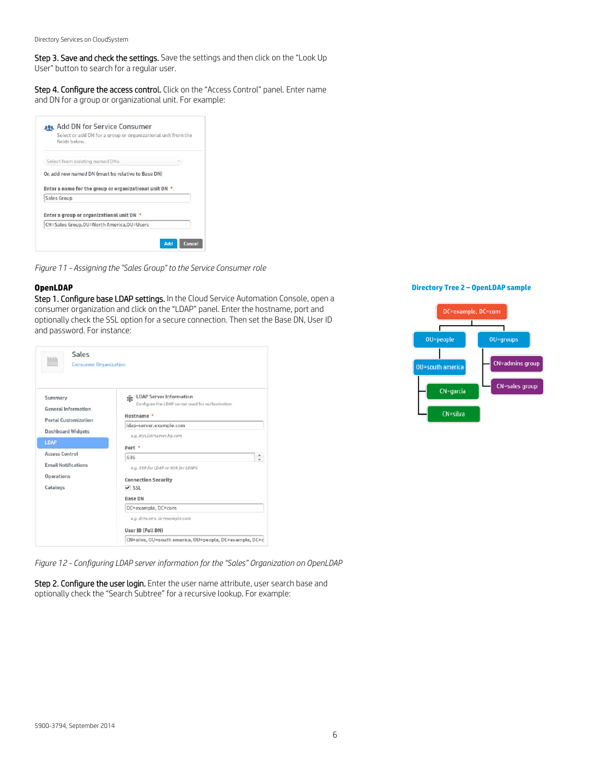Step 3. Save and check the settings. Save the settings and then click on the "Look Up User" button to search for a regular user.

Step 4. Configure the access control. Click on the "Access Control" panel. Enter name and DN for a group or organizational unit. For example:

| fields below.                                                         | Select or add DN for a group or organizational unit from the |
|-----------------------------------------------------------------------|--------------------------------------------------------------|
| Select from existing named DNs                                        |                                                              |
|                                                                       |                                                              |
| Or, add new named DN (must be relative to Base DN)                    |                                                              |
| Enter a name for the group or organizational unit DN *<br>Sales Group |                                                              |
| Enter a group or organizational unit DN *                             |                                                              |

*Figure 11 - Assigning the "Sales Group" to the Service Consumer role*

#### **OpenLDAP**

Step 1. Configure base LDAP settings. In the Cloud Service Automation Console, open a consumer organization and click on the "LDAP" panel. Enter the hostname, port and optionally check the SSL option for a secure connection. Then set the Base DN, User ID and password. For instance:

| Sales<br>hibibilis<br><br><b>Consumer Organization</b>                               |                                                                                                                                     |
|--------------------------------------------------------------------------------------|-------------------------------------------------------------------------------------------------------------------------------------|
| Summary<br><b>General Information</b><br><b>Portal Customization</b>                 | LDAP Server Information<br>Configure the LDAP server used for authorization<br>Hostname *<br>ldap-server.example.com                |
| <b>Dashboard Widgets</b><br><b>LDAP</b>                                              | e.g. myLDAPserver.hp.com<br>Port *                                                                                                  |
| <b>Access Control</b><br><b>Email Notifications</b><br><b>Operations</b><br>Catalogs | ۰<br>636<br>$\mathbf{v}$<br>e.g. 389 for LDAP or 636 for LDAPS<br><b>Connection Security</b><br>$\vee$ SSL<br><b>Base DN</b>        |
|                                                                                      | DC=example, DC=com<br>e.g. dc=users, dc=example.com<br>User ID (Full DN)<br>CN=silva, OU=south america, OU=people, DC=example, DC=c |

*Figure 12 - Configuring LDAP server information for the "Sales" Organization on OpenLDAP*

Step 2. Configure the user login. Enter the user name attribute, user search base and optionally check the "Search Subtree" for a recursive lookup. For example:

#### **Directory Tree 2 – OpenLDAP sample**